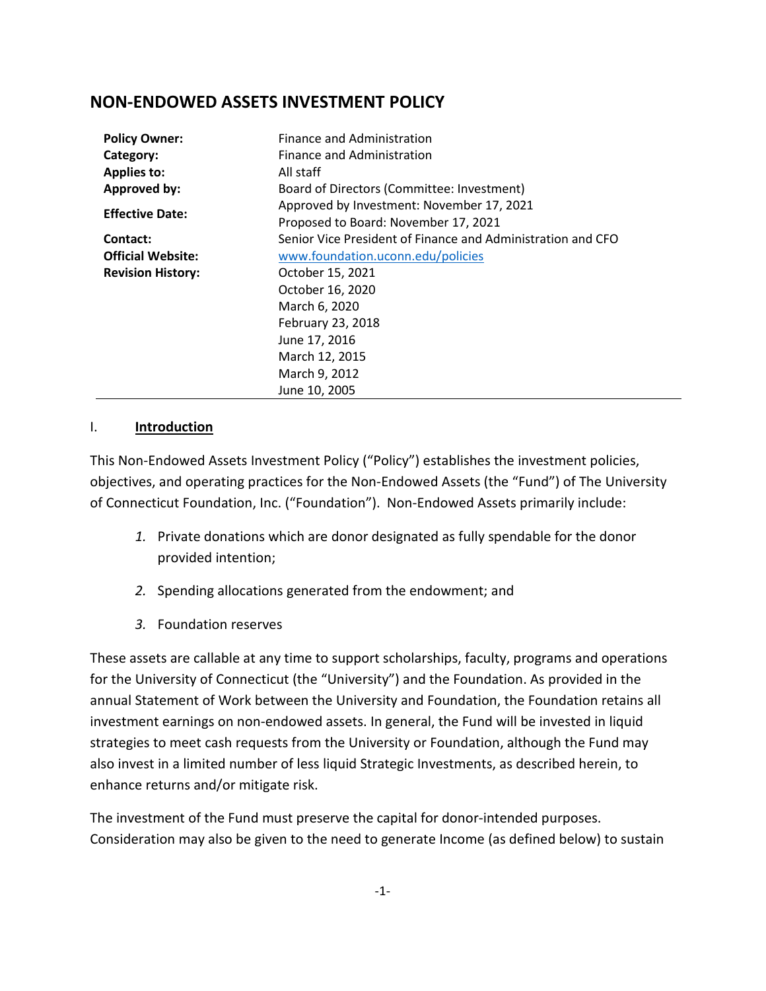# **NON-ENDOWED ASSETS INVESTMENT POLICY**

| <b>Policy Owner:</b>     | Finance and Administration                                  |  |  |
|--------------------------|-------------------------------------------------------------|--|--|
| Category:                | Finance and Administration                                  |  |  |
| <b>Applies to:</b>       | All staff                                                   |  |  |
| Approved by:             | Board of Directors (Committee: Investment)                  |  |  |
| <b>Effective Date:</b>   | Approved by Investment: November 17, 2021                   |  |  |
|                          | Proposed to Board: November 17, 2021                        |  |  |
| Contact:                 | Senior Vice President of Finance and Administration and CFO |  |  |
| <b>Official Website:</b> | www.foundation.uconn.edu/policies                           |  |  |
| <b>Revision History:</b> | October 15, 2021                                            |  |  |
|                          | October 16, 2020                                            |  |  |
|                          | March 6, 2020                                               |  |  |
|                          | February 23, 2018                                           |  |  |
|                          | June 17, 2016                                               |  |  |
|                          | March 12, 2015                                              |  |  |
|                          | March 9, 2012                                               |  |  |
|                          | June 10, 2005                                               |  |  |

### I. **Introduction**

This Non-Endowed Assets Investment Policy ("Policy") establishes the investment policies, objectives, and operating practices for the Non-Endowed Assets (the "Fund") of The University of Connecticut Foundation, Inc. ("Foundation"). Non-Endowed Assets primarily include:

- *1.* Private donations which are donor designated as fully spendable for the donor provided intention;
- *2.* Spending allocations generated from the endowment; and
- *3.* Foundation reserves

These assets are callable at any time to support scholarships, faculty, programs and operations for the University of Connecticut (the "University") and the Foundation. As provided in the annual Statement of Work between the University and Foundation, the Foundation retains all investment earnings on non-endowed assets. In general, the Fund will be invested in liquid strategies to meet cash requests from the University or Foundation, although the Fund may also invest in a limited number of less liquid Strategic Investments, as described herein, to enhance returns and/or mitigate risk.

The investment of the Fund must preserve the capital for donor-intended purposes. Consideration may also be given to the need to generate Income (as defined below) to sustain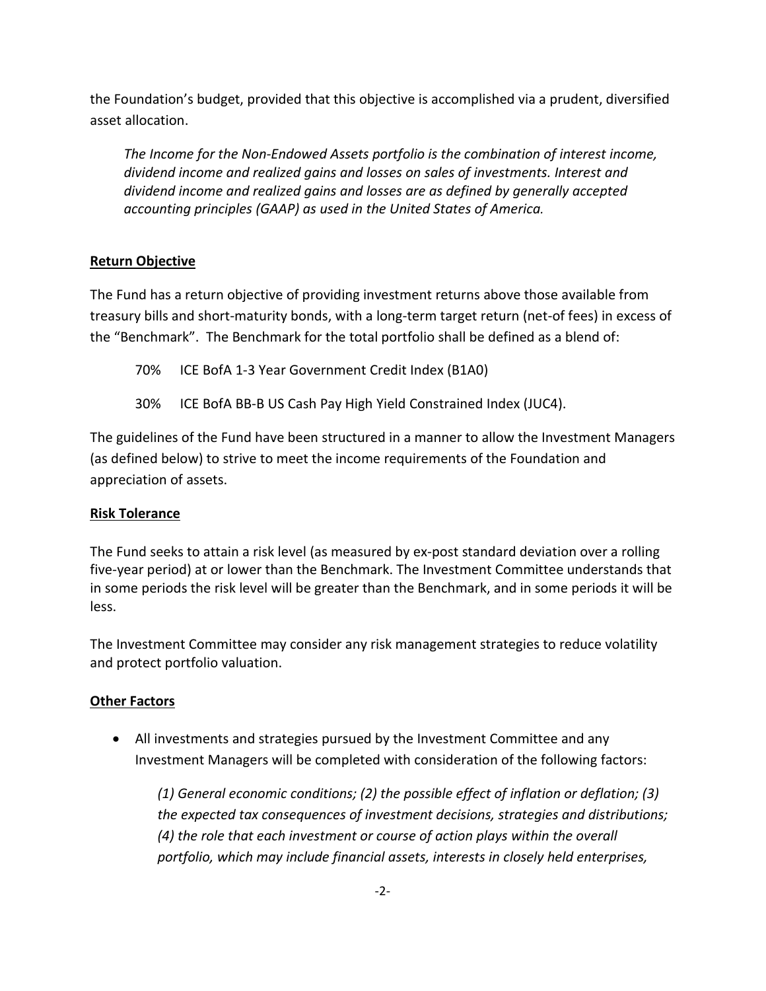the Foundation's budget, provided that this objective is accomplished via a prudent, diversified asset allocation.

*The Income for the Non-Endowed Assets portfolio is the combination of interest income, dividend income and realized gains and losses on sales of investments. Interest and dividend income and realized gains and losses are as defined by generally accepted accounting principles (GAAP) as used in the United States of America.* 

### **Return Objective**

The Fund has a return objective of providing investment returns above those available from treasury bills and short-maturity bonds, with a long-term target return (net-of fees) in excess of the "Benchmark". The Benchmark for the total portfolio shall be defined as a blend of:

70% ICE BofA 1-3 Year Government Credit Index (B1A0)

30% ICE BofA BB-B US Cash Pay High Yield Constrained Index (JUC4).

The guidelines of the Fund have been structured in a manner to allow the Investment Managers (as defined below) to strive to meet the income requirements of the Foundation and appreciation of assets.

### **Risk Tolerance**

The Fund seeks to attain a risk level (as measured by ex-post standard deviation over a rolling five-year period) at or lower than the Benchmark. The Investment Committee understands that in some periods the risk level will be greater than the Benchmark, and in some periods it will be less.

The Investment Committee may consider any risk management strategies to reduce volatility and protect portfolio valuation.

### **Other Factors**

• All investments and strategies pursued by the Investment Committee and any Investment Managers will be completed with consideration of the following factors:

*(1) General economic conditions; (2) the possible effect of inflation or deflation; (3) the expected tax consequences of investment decisions, strategies and distributions; (4) the role that each investment or course of action plays within the overall portfolio, which may include financial assets, interests in closely held enterprises,*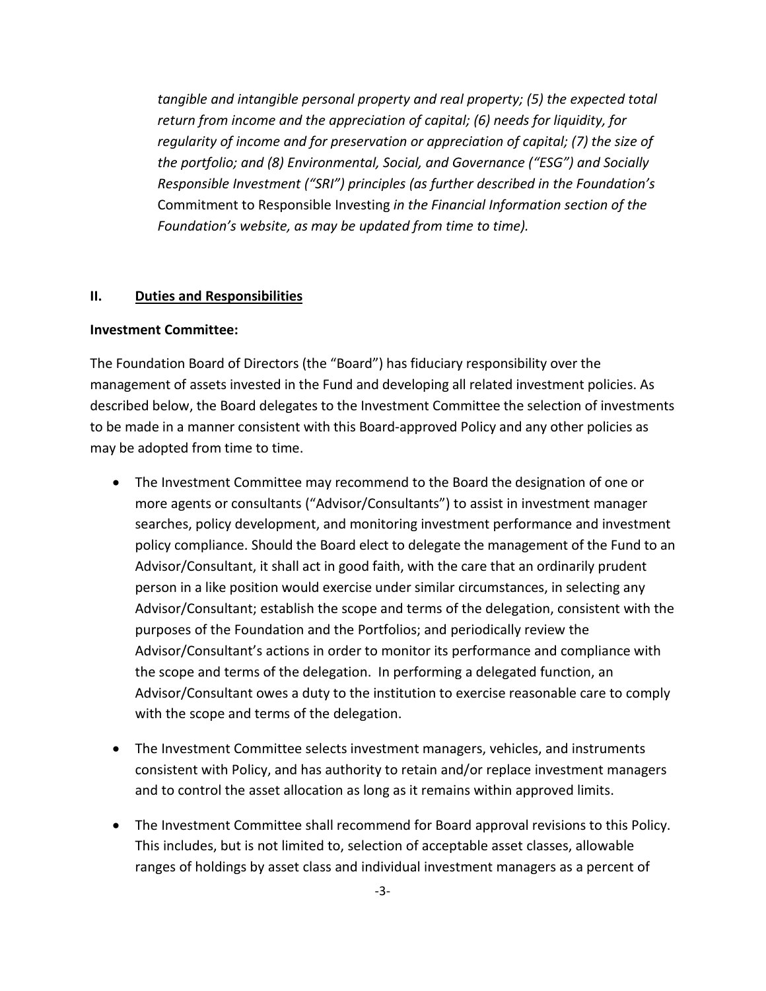*tangible and intangible personal property and real property; (5) the expected total return from income and the appreciation of capital; (6) needs for liquidity, for regularity of income and for preservation or appreciation of capital; (7) the size of the portfolio; and (8) Environmental, Social, and Governance ("ESG") and Socially Responsible Investment ("SRI") principles (as further described in the Foundation's*  Commitment to Responsible Investing *in the Financial Information section of the Foundation's website, as may be updated from time to time).*

#### **II. Duties and Responsibilities**

#### **Investment Committee:**

The Foundation Board of Directors (the "Board") has fiduciary responsibility over the management of assets invested in the Fund and developing all related investment policies. As described below, the Board delegates to the Investment Committee the selection of investments to be made in a manner consistent with this Board-approved Policy and any other policies as may be adopted from time to time.

- The Investment Committee may recommend to the Board the designation of one or more agents or consultants ("Advisor/Consultants") to assist in investment manager searches, policy development, and monitoring investment performance and investment policy compliance. Should the Board elect to delegate the management of the Fund to an Advisor/Consultant, it shall act in good faith, with the care that an ordinarily prudent person in a like position would exercise under similar circumstances, in selecting any Advisor/Consultant; establish the scope and terms of the delegation, consistent with the purposes of the Foundation and the Portfolios; and periodically review the Advisor/Consultant's actions in order to monitor its performance and compliance with the scope and terms of the delegation. In performing a delegated function, an Advisor/Consultant owes a duty to the institution to exercise reasonable care to comply with the scope and terms of the delegation.
- The Investment Committee selects investment managers, vehicles, and instruments consistent with Policy, and has authority to retain and/or replace investment managers and to control the asset allocation as long as it remains within approved limits.
- The Investment Committee shall recommend for Board approval revisions to this Policy. This includes, but is not limited to, selection of acceptable asset classes, allowable ranges of holdings by asset class and individual investment managers as a percent of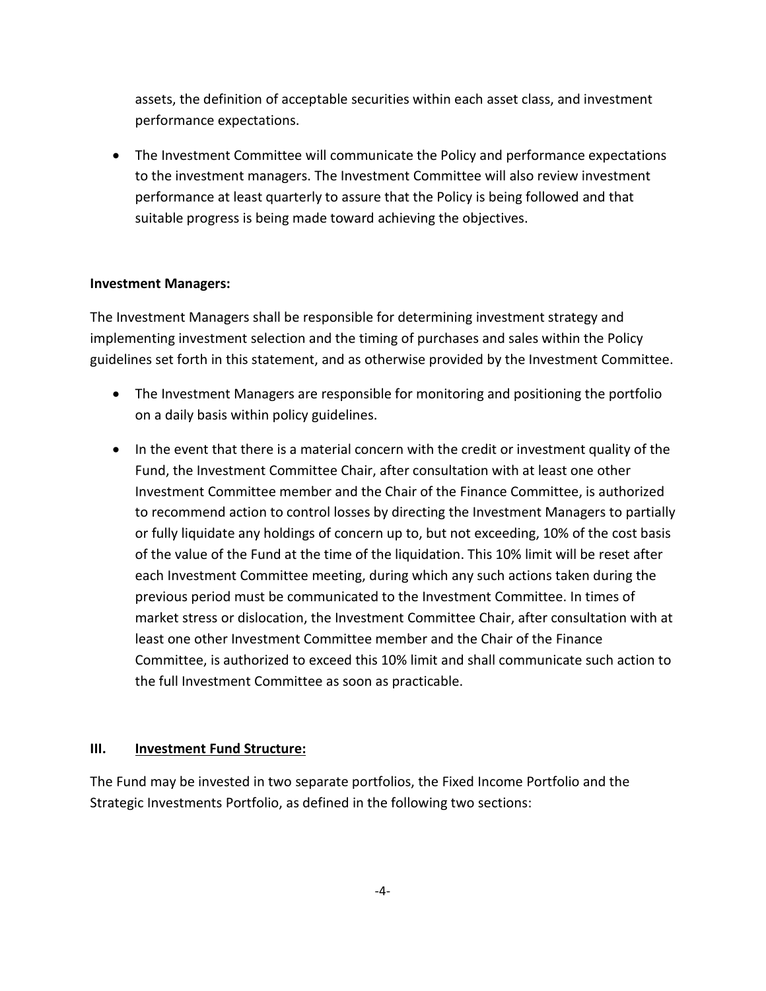assets, the definition of acceptable securities within each asset class, and investment performance expectations.

• The Investment Committee will communicate the Policy and performance expectations to the investment managers. The Investment Committee will also review investment performance at least quarterly to assure that the Policy is being followed and that suitable progress is being made toward achieving the objectives.

#### **Investment Managers:**

The Investment Managers shall be responsible for determining investment strategy and implementing investment selection and the timing of purchases and sales within the Policy guidelines set forth in this statement, and as otherwise provided by the Investment Committee.

- The Investment Managers are responsible for monitoring and positioning the portfolio on a daily basis within policy guidelines.
- In the event that there is a material concern with the credit or investment quality of the Fund, the Investment Committee Chair, after consultation with at least one other Investment Committee member and the Chair of the Finance Committee, is authorized to recommend action to control losses by directing the Investment Managers to partially or fully liquidate any holdings of concern up to, but not exceeding, 10% of the cost basis of the value of the Fund at the time of the liquidation. This 10% limit will be reset after each Investment Committee meeting, during which any such actions taken during the previous period must be communicated to the Investment Committee. In times of market stress or dislocation, the Investment Committee Chair, after consultation with at least one other Investment Committee member and the Chair of the Finance Committee, is authorized to exceed this 10% limit and shall communicate such action to the full Investment Committee as soon as practicable.

### **III. Investment Fund Structure:**

The Fund may be invested in two separate portfolios, the Fixed Income Portfolio and the Strategic Investments Portfolio, as defined in the following two sections: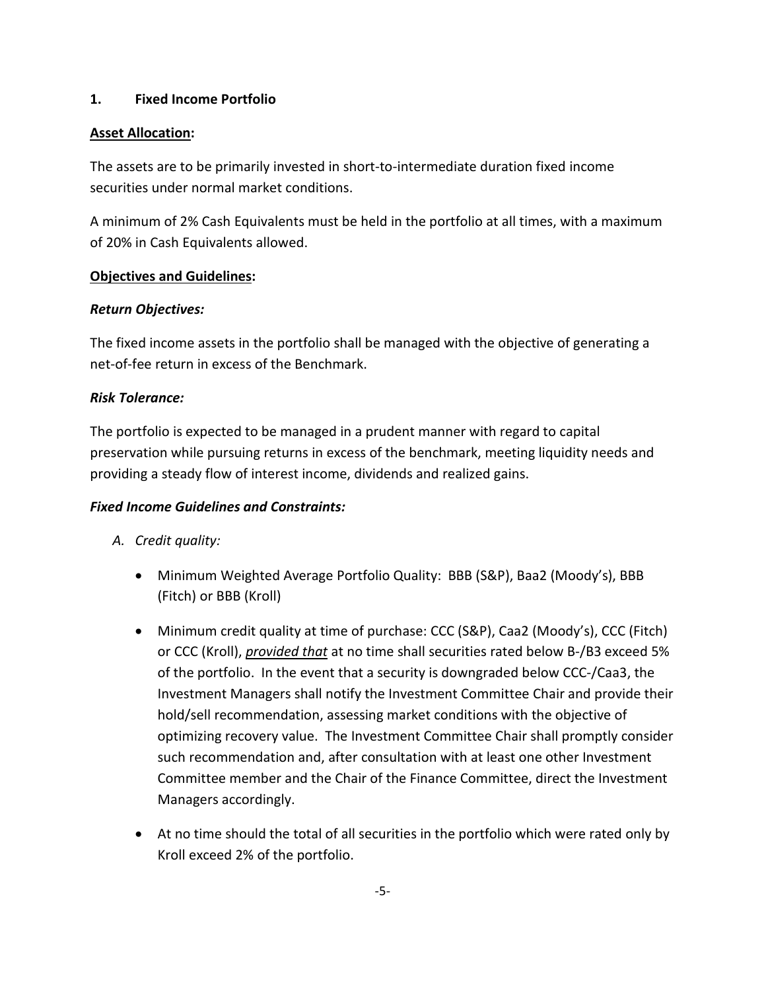#### **1. Fixed Income Portfolio**

#### **Asset Allocation:**

The assets are to be primarily invested in short-to-intermediate duration fixed income securities under normal market conditions.

A minimum of 2% Cash Equivalents must be held in the portfolio at all times, with a maximum of 20% in Cash Equivalents allowed.

#### **Objectives and Guidelines:**

#### *Return Objectives:*

The fixed income assets in the portfolio shall be managed with the objective of generating a net-of-fee return in excess of the Benchmark.

#### *Risk Tolerance:*

The portfolio is expected to be managed in a prudent manner with regard to capital preservation while pursuing returns in excess of the benchmark, meeting liquidity needs and providing a steady flow of interest income, dividends and realized gains.

### *Fixed Income Guidelines and Constraints:*

- *A. Credit quality:*
	- Minimum Weighted Average Portfolio Quality: BBB (S&P), Baa2 (Moody's), BBB (Fitch) or BBB (Kroll)
	- Minimum credit quality at time of purchase: CCC (S&P), Caa2 (Moody's), CCC (Fitch) or CCC (Kroll), *provided that* at no time shall securities rated below B-/B3 exceed 5% of the portfolio. In the event that a security is downgraded below CCC-/Caa3, the Investment Managers shall notify the Investment Committee Chair and provide their hold/sell recommendation, assessing market conditions with the objective of optimizing recovery value. The Investment Committee Chair shall promptly consider such recommendation and, after consultation with at least one other Investment Committee member and the Chair of the Finance Committee, direct the Investment Managers accordingly.
	- At no time should the total of all securities in the portfolio which were rated only by Kroll exceed 2% of the portfolio.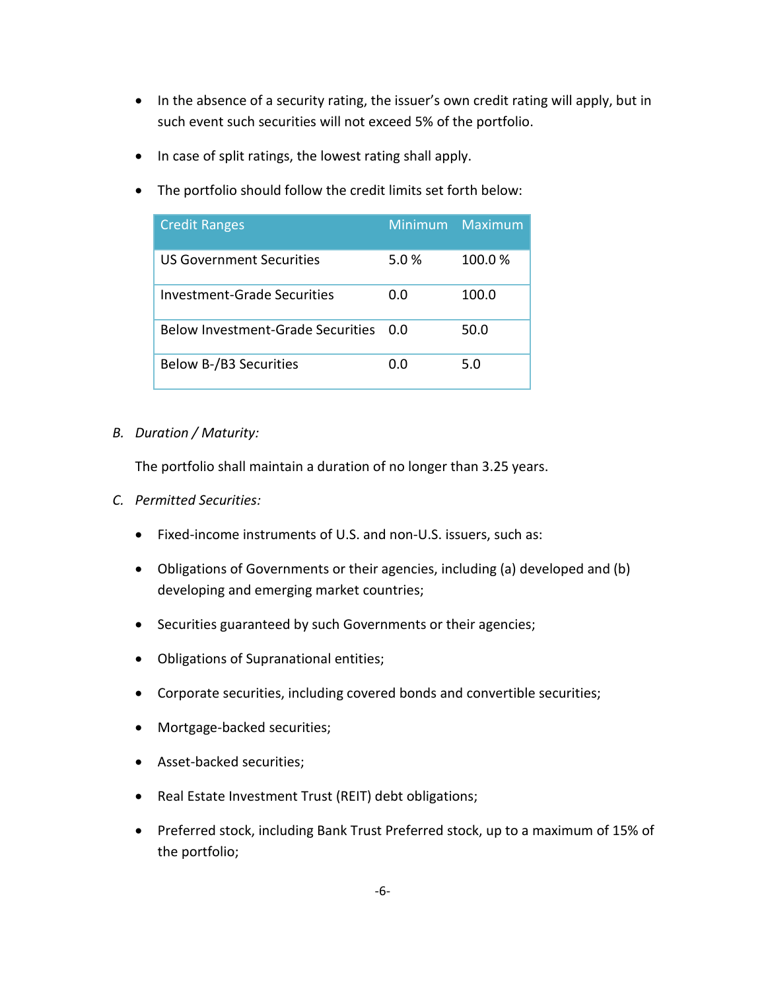- In the absence of a security rating, the issuer's own credit rating will apply, but in such event such securities will not exceed 5% of the portfolio.
- In case of split ratings, the lowest rating shall apply.
- The portfolio should follow the credit limits set forth below:

| <b>Credit Ranges</b>                     | Minimum | Maximum |
|------------------------------------------|---------|---------|
| US Government Securities                 | 5.0%    | 100.0%  |
| <b>Investment-Grade Securities</b>       | 0.0     | 100.0   |
| <b>Below Investment-Grade Securities</b> | n n     | 50.0    |
| <b>Below B-/B3 Securities</b>            | ი ი     | 5.0     |

#### *B. Duration / Maturity:*

The portfolio shall maintain a duration of no longer than 3.25 years.

- *C. Permitted Securities:*
	- Fixed-income instruments of U.S. and non-U.S. issuers, such as:
	- Obligations of Governments or their agencies, including (a) developed and (b) developing and emerging market countries;
	- Securities guaranteed by such Governments or their agencies;
	- Obligations of Supranational entities;
	- Corporate securities, including covered bonds and convertible securities;
	- Mortgage-backed securities;
	- Asset-backed securities;
	- Real Estate Investment Trust (REIT) debt obligations;
	- Preferred stock, including Bank Trust Preferred stock, up to a maximum of 15% of the portfolio;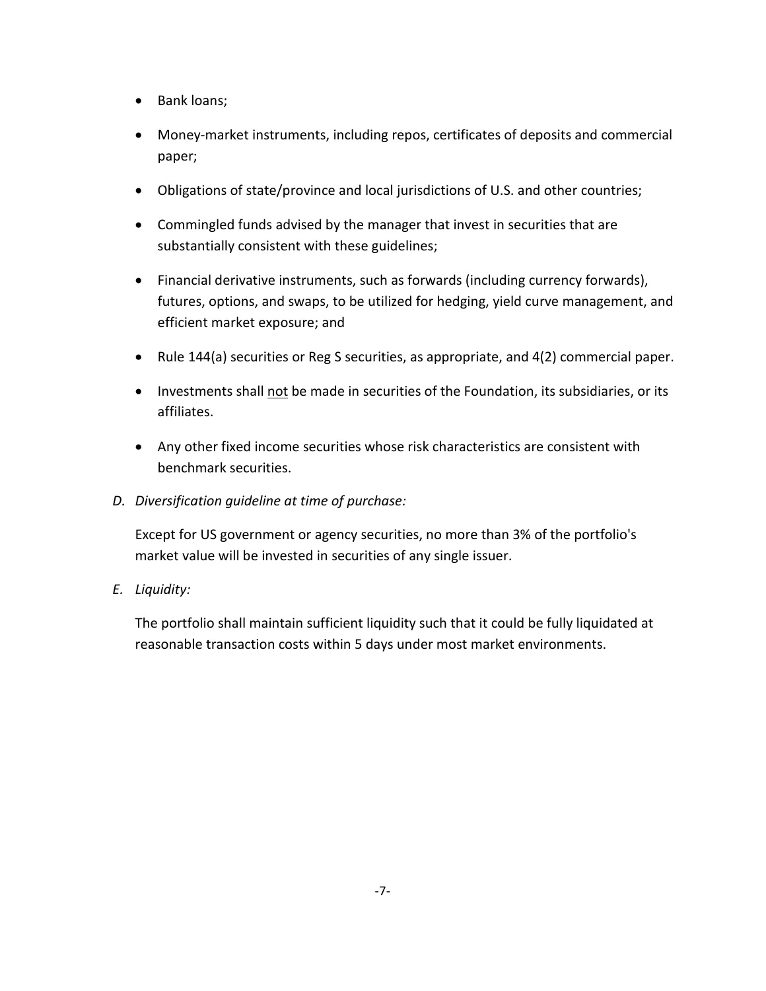- Bank loans;
- Money-market instruments, including repos, certificates of deposits and commercial paper;
- Obligations of state/province and local jurisdictions of U.S. and other countries;
- Commingled funds advised by the manager that invest in securities that are substantially consistent with these guidelines;
- Financial derivative instruments, such as forwards (including currency forwards), futures, options, and swaps, to be utilized for hedging, yield curve management, and efficient market exposure; and
- Rule 144(a) securities or Reg S securities, as appropriate, and 4(2) commercial paper.
- Investments shall not be made in securities of the Foundation, its subsidiaries, or its affiliates.
- Any other fixed income securities whose risk characteristics are consistent with benchmark securities.
- *D. Diversification guideline at time of purchase:*

Except for US government or agency securities, no more than 3% of the portfolio's market value will be invested in securities of any single issuer.

*E. Liquidity:*

The portfolio shall maintain sufficient liquidity such that it could be fully liquidated at reasonable transaction costs within 5 days under most market environments.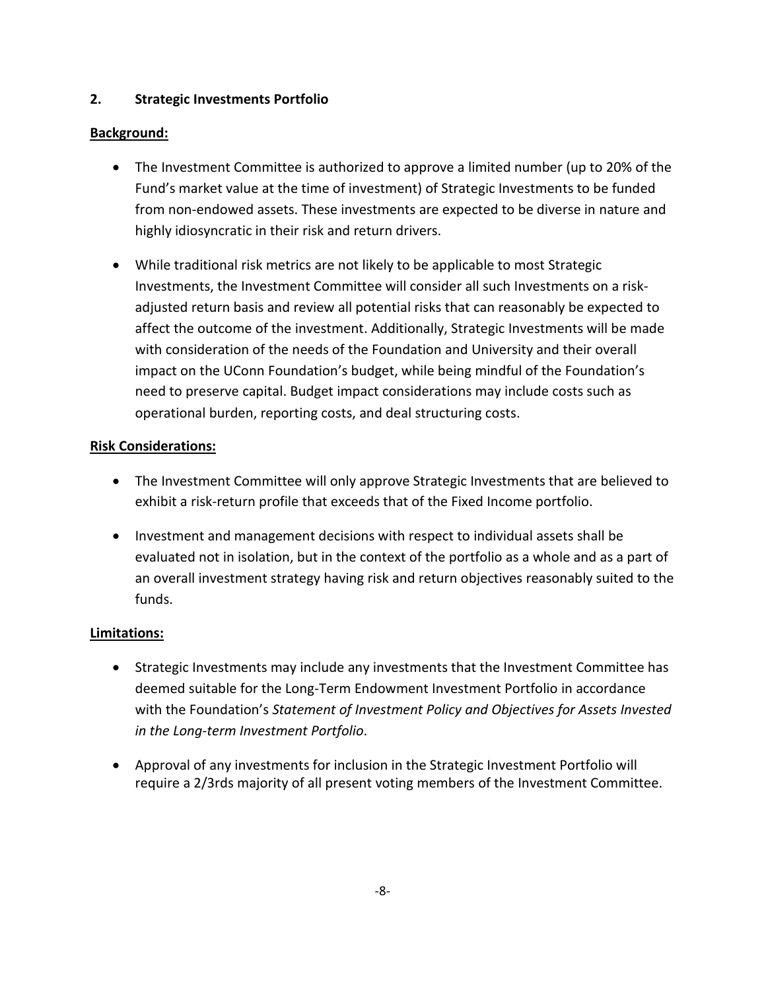## **2. Strategic Investments Portfolio**

### **Background:**

- The Investment Committee is authorized to approve a limited number (up to 20% of the Fund's market value at the time of investment) of Strategic Investments to be funded from non-endowed assets. These investments are expected to be diverse in nature and highly idiosyncratic in their risk and return drivers.
- While traditional risk metrics are not likely to be applicable to most Strategic Investments, the Investment Committee will consider all such Investments on a riskadjusted return basis and review all potential risks that can reasonably be expected to affect the outcome of the investment. Additionally, Strategic Investments will be made with consideration of the needs of the Foundation and University and their overall impact on the UConn Foundation's budget, while being mindful of the Foundation's need to preserve capital. Budget impact considerations may include costs such as operational burden, reporting costs, and deal structuring costs.

### **Risk Considerations:**

- The Investment Committee will only approve Strategic Investments that are believed to exhibit a risk-return profile that exceeds that of the Fixed Income portfolio.
- Investment and management decisions with respect to individual assets shall be evaluated not in isolation, but in the context of the portfolio as a whole and as a part of an overall investment strategy having risk and return objectives reasonably suited to the funds.

## **Limitations:**

- Strategic Investments may include any investments that the Investment Committee has deemed suitable for the Long-Term Endowment Investment Portfolio in accordance with the Foundation's *Statement of Investment Policy and Objectives for Assets Invested in the Long-term Investment Portfolio*.
- Approval of any investments for inclusion in the Strategic Investment Portfolio will require a 2/3rds majority of all present voting members of the Investment Committee.